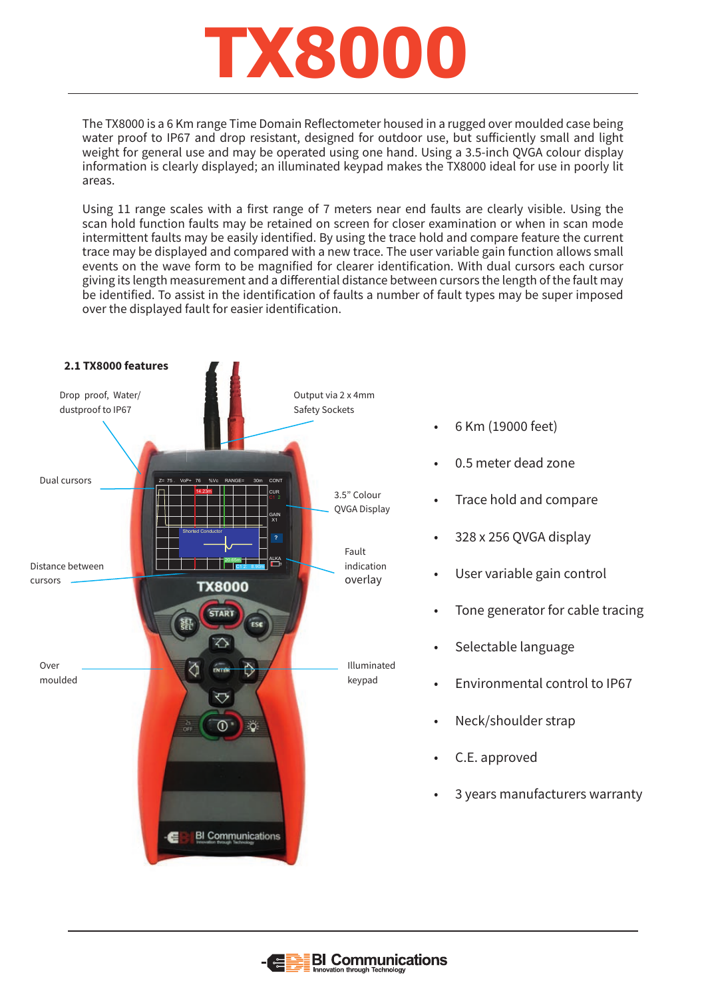

The TX8000 is a 6 Km range Time Domain Reflectometer housed in a rugged over moulded case being water proof to IP67 and drop resistant, designed for outdoor use, but sufficiently small and light weight for general use and may be operated using one hand. Using a 3.5-inch QVGA colour display information is clearly displayed; an illuminated keypad makes the TX8000 ideal for use in poorly lit areas.

Using 11 range scales with a first range of 7 meters near end faults are clearly visible. Using the scan hold function faults may be retained on screen for closer examination or when in scan mode intermittent faults may be easily identified. By using the trace hold and compare feature the current trace may be displayed and compared with a new trace. The user variable gain function allows small events on the wave form to be magnified for clearer identification. With dual cursors each cursor giving its length measurement and a differential distance between cursors the length of the fault may be identified. To assist in the identification of faults a number of fault types may be super imposed over the displayed fault for easier identification.



- 6 Km (19000 feet)
- 0.5 meter dead zone
- Trace hold and compare
- 328 x 256 QVGA display
- User variable gain control
- Tone generator for cable tracing
- Selectable language
- Environmental control to IP67
- Neck/shoulder strap
- C.E. approved
- 3 years manufacturers warranty